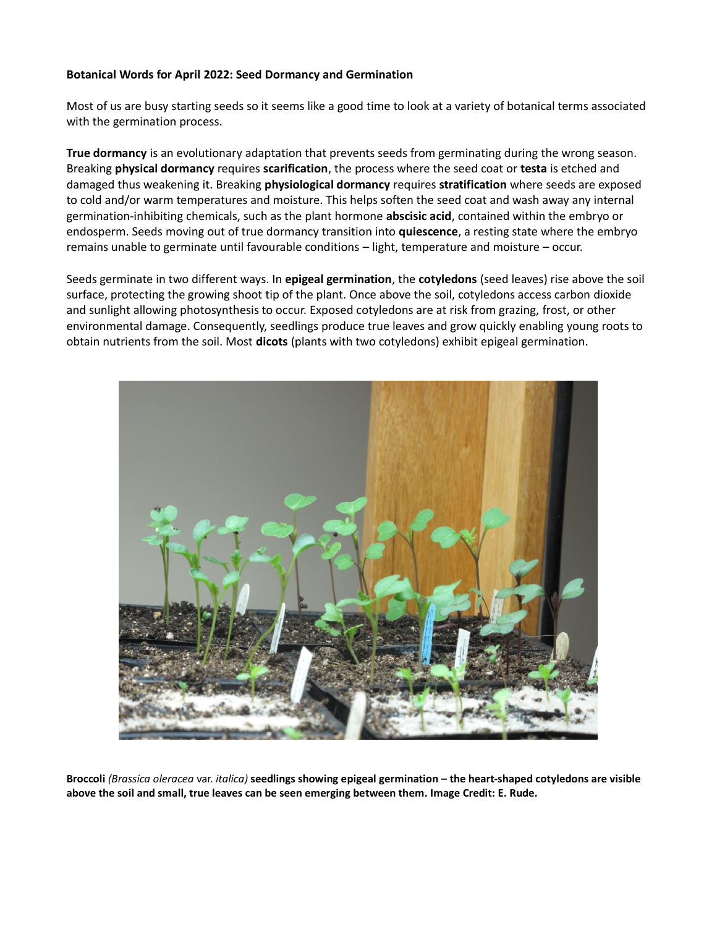## **Botanical Words for April 2022: Seed Dormancy and Germination**

Most of us are busy starting seeds so it seems like a good time to look at a variety of botanical terms associated with the germination process.

**True dormancy** is an evolutionary adaptation that prevents seeds from germinating during the wrong season. Breaking **physical dormancy** requires **scarification**, the process where the seed coat or **testa** is etched and damaged thus weakening it. Breaking **physiological dormancy** requires **stratification** where seeds are exposed to cold and/or warm temperatures and moisture. This helps soften the seed coat and wash away any internal germination-inhibiting chemicals, such as the plant hormone **abscisic acid**, contained within the embryo or endosperm. Seeds moving out of true dormancy transition into **quiescence**, a resting state where the embryo remains unable to germinate until favourable conditions – light, temperature and moisture – occur.

Seeds germinate in two different ways. In **epigeal germination**, the **cotyledons** (seed leaves) rise above the soil surface, protecting the growing shoot tip of the plant. Once above the soil, cotyledons access carbon dioxide and sunlight allowing photosynthesis to occur. Exposed cotyledons are at risk from grazing, frost, or other environmental damage. Consequently, seedlings produce true leaves and grow quickly enabling young roots to obtain nutrients from the soil. Most **dicots** (plants with two cotyledons) exhibit epigeal germination.



**Broccoli** *(Brassica oleracea* var. *italica)* **seedlings showing epigeal germination – the heart-shaped cotyledons are visible above the soil and small, true leaves can be seen emerging between them. Image Credit: E. Rude***.*